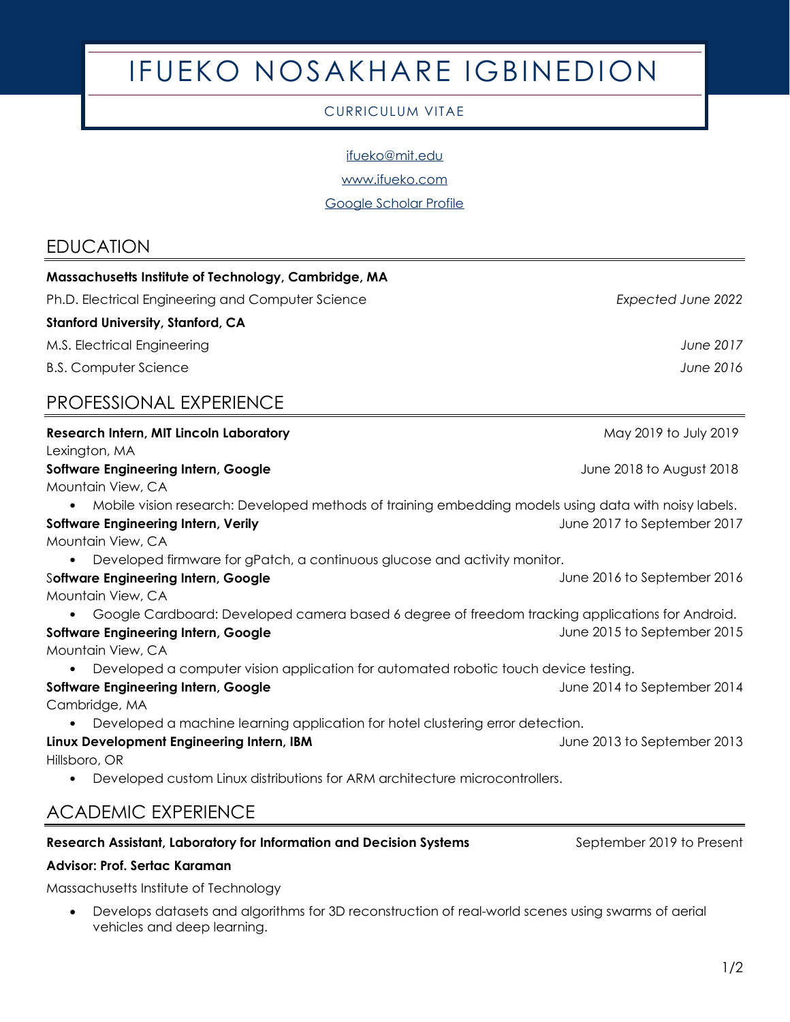# IFUEKO NOSAKHARE IGBINEDION

#### CURRICULUM VITAE

[ifueko@mit.edu](mailto:ifueko@mit.edu)

[www.ifueko.com](http://www.ifueko.com/)

[Google Scholar Profile](https://scholar.google.com/citations?hl=en&user=GSfOzNIAAAAJ)

# EDUCATION

| Massachusetts Institute of Technology, Cambridge, MA                                                 |                             |
|------------------------------------------------------------------------------------------------------|-----------------------------|
| Ph.D. Electrical Engineering and Computer Science                                                    | Expected June 2022          |
| <b>Stanford University, Stanford, CA</b>                                                             |                             |
| M.S. Electrical Engineering                                                                          | June 2017                   |
| <b>B.S. Computer Science</b>                                                                         | June 2016                   |
| PROFESSIONAL EXPERIENCE                                                                              |                             |
| <b>Research Intern, MIT Lincoln Laboratory</b>                                                       | May 2019 to July 2019       |
| Lexington, MA                                                                                        |                             |
| <b>Software Engineering Intern, Google</b>                                                           | June 2018 to August 2018    |
| Mountain View, CA                                                                                    |                             |
| Mobile vision research: Developed methods of training embedding models using data with noisy labels. |                             |
| <b>Software Engineering Intern, Verily</b>                                                           | June 2017 to September 2017 |
| Mountain View, CA                                                                                    |                             |
| Developed firmware for gPatch, a continuous glucose and activity monitor.                            |                             |
| <b>Software Engineering Intern, Google</b>                                                           | June 2016 to September 2016 |
| Mountain View, CA                                                                                    |                             |
| Google Cardboard: Developed camera based 6 degree of freedom tracking applications for Android.      |                             |
| <b>Software Engineering Intern, Google</b>                                                           | June 2015 to September 2015 |
| Mountain View, CA                                                                                    |                             |
| Developed a computer vision application for automated robotic touch device testing.                  |                             |
| <b>Software Engineering Intern, Google</b>                                                           | June 2014 to September 2014 |
| Cambridge, MA                                                                                        |                             |
| Developed a machine learning application for hotel clustering error detection.                       |                             |
| Linux Development Engineering Intern, IBM                                                            | June 2013 to September 2013 |
| Hillsboro, OR                                                                                        |                             |
| Developed custom Linux distributions for ARM architecture microcontrollers.                          |                             |
| <b>ACADEMIC EXPERIENCE</b>                                                                           |                             |
| <b>Research Assistant, Laboratory for Information and Decision Systems</b>                           | September 2019 to Present   |

#### **Research Assistant, Laboratory for Information and Decision Systems Advisor: Prof. Sertac Karaman**

Massachusetts Institute of Technology

• Develops datasets and algorithms for 3D reconstruction of real-world scenes using swarms of aerial vehicles and deep learning.